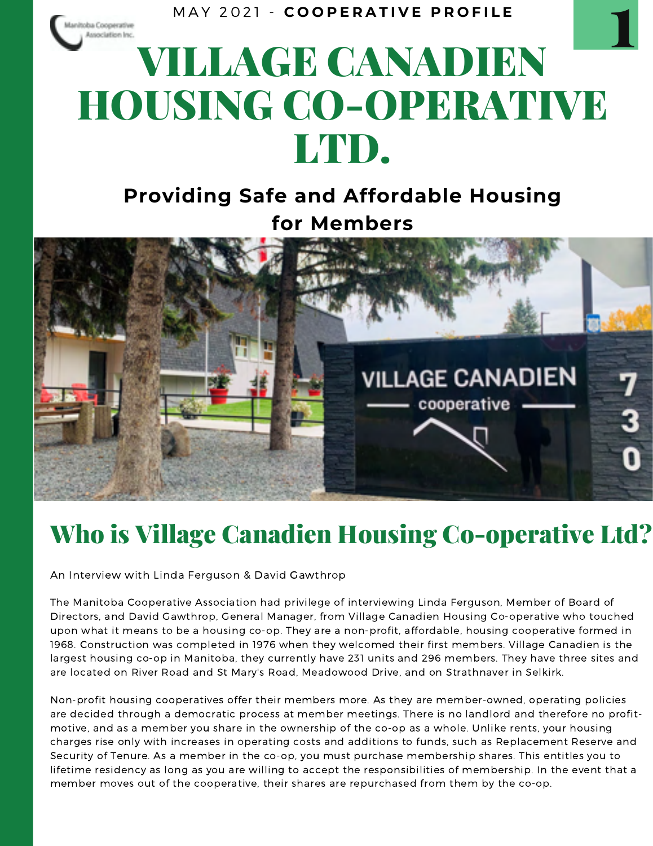M A Y 2 0 2 1 - **C O O P E R A T I V E P R O F I L E**

# VILLAGE CANADIEN HOUSING CO-OPERATIVE LTD. **1**

#### **Providing Safe and Affordable Housing for Members**



#### Who is Village Canadien Housing Co-operative Ltd?

An Interview with Linda Ferguson & David Gawthrop

oba Cooperative

The Manitoba Cooperative Association had privilege of interviewing Linda Ferguson, Member of Board of Directors, and David Gawthrop, General Manager, from Village Canadien Housing Co-operative who touched upon what it means to be a housing co-op. They are a non-profit, affordable, housing cooperative formed in 1968. Construction was completed in 1976 when they welcomed their first members. Village Canadien is the largest housing co-op in Manitoba, they currently have 231 units and 296 members. They have three sites and are located on River Road and St Mary's Road, Meadowood Drive, and on Strathnaver in Selkirk.

Non-profit housing cooperatives offer their members more. As they are member-owned, operating policies are decided through a democratic process at member meetings. There is no landlord and therefore no profit motive, and as a member you share in the ownership of the co-op as a whole. Unlike rents, your housing charges rise only with increases in operating costs and additions to funds, such as Replacement Reserve and Security of Tenure. As a member in the co-op, you must purchase membership shares. This entitles you to lifetime residency as long as you are willing to accept the responsibilities of membership. In the event that a member moves out of the cooperative, their shares are repurchased from them by the co-op.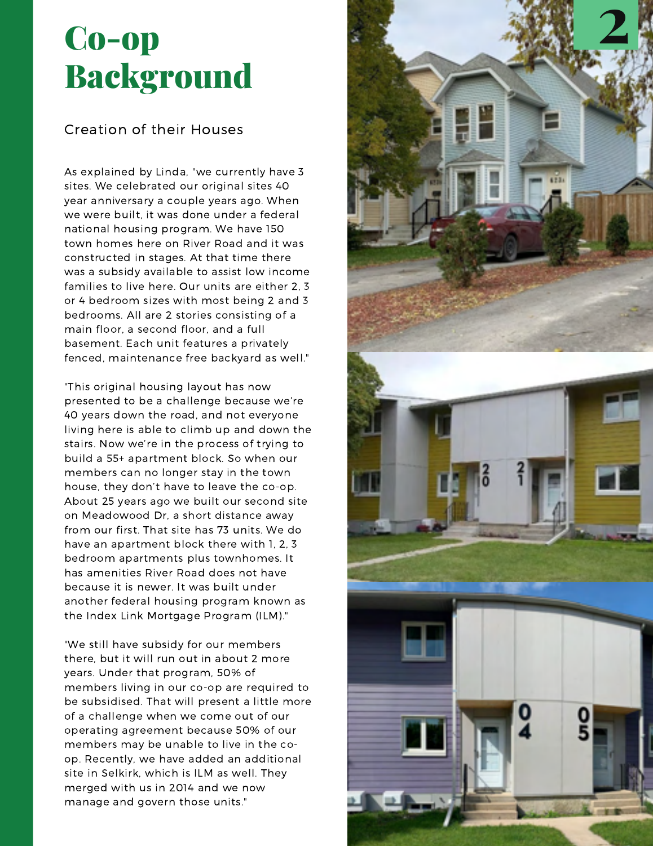## Co-op **Background**

#### Creation of their Houses

As explained by Linda, "we currently have 3 sites. We celebrated our original sites 40 year anniversary a couple years ago. When we were built, it was done under a federal national housing program. We have 150 town homes here on River Road and it was constructed in stages. At that time there was a subsidy available to assist low income families to live here. Our units are either 2, 3 or 4 bedroom sizes with most being 2 and 3 bedrooms. All are 2 stories consisting of a main floor, a second floor, and a full basement. Each unit features a privately fenced, maintenance free backyard as well."

"This original housing layout has now presented to be a challenge because we're 40 years down the road, and not everyone living here is able to climb up and down the stairs. Now we're in the process of trying to build a 55+ apartment block. So when our members can no longer stay in the town house, they don't have to leave the co-op. About 25 years ago we built our second site on Meadowood Dr, a short distance away from our first. That site has 73 units. We do have an apartment block there with 1, 2, 3 bedroom apartments plus townhomes. It has amenities River Road does not have because it is newer. It was built under another federal housing program known as the Index Link Mortgage Program (ILM)."

"We still have subsidy for our members there, but it will run out in about 2 more years. Under that program, 50% of members living in our co-op are required to be subsidised. That will present a little more of a challenge when we come out of our operating agreement because 50% of our members may be unable to live in the co op. Recently, we have added an additional site in Selkirk, which is ILM as well. They merged with us in 2014 and we now manage and govern those units."

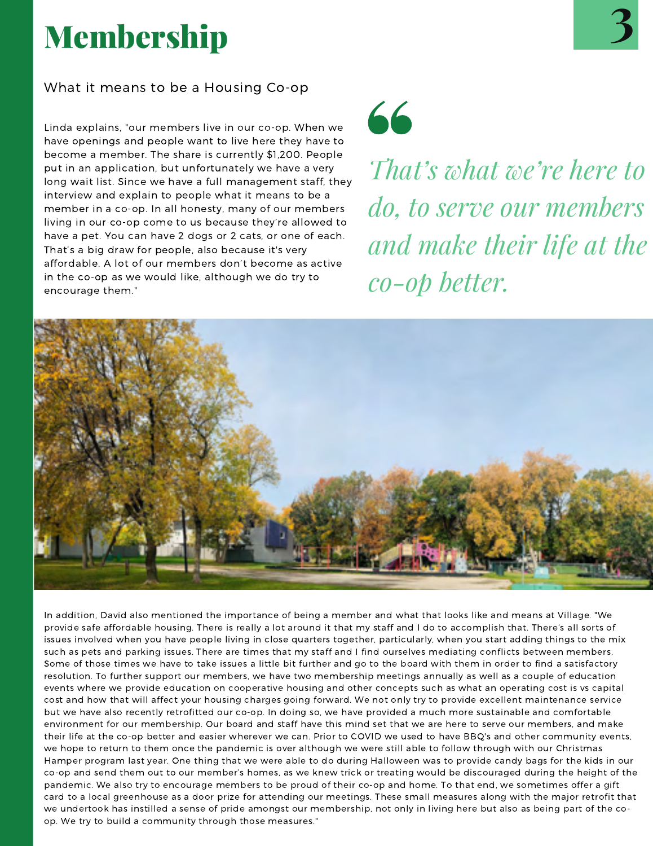# Membership

Linda explains, "our members live in our co-op. When we have openings and people want to live here they have to become a member. The share is currently \$1,200. People put in an application, but unfortunately we have a very long wait list. Since we have a full management staff, they interview and explain to people what it means to be a member in a co-op. In all honesty, many of our members living in our co-op come to us because they're allowed to have a pet. You can have 2 dogs or 2 cats, or one of each. That's a big draw for people, also because it's very affordable. A lot of our members don't become as active in the co-op as we would like, although we do try to encourage them."



*That's what we're here to do, to serve our members and make their life at the co-op better.*



In addition, David also mentioned the importance of being a member and what that looks like and means at Village. "We provide safe affordable housing. There is really a lot around it that my staff and I do to accomplish that. There's all sorts of issues involved when you have people living in close quarters together, particularly, when you start adding things to the mix such as pets and parking issues. There are times that my staff and I find ourselves mediating conflicts between members. Some of those times we have to take issues a little bit further and go to the board with them in order to find a satisfactory resolution. To further support our members, we have two membership meetings annually as well as a couple of education events where we provide education on cooperative housing and other concepts such as what an operating cost is vs capital cost and how that will affect your housing charges going forward. We not only try to provide excellent maintenance service but we have also recently retrofitted our co-op. In doing so, we have provided a much more sustainable and comfortable environment for our membership. Our board and staff have this mind set that we are here to serve our members, and make their life at the co-op better and easier wherever we can. Prior to COVID we used to have BBQ's and other community events, we hope to return to them once the pandemic is over although we were still able to follow through with our Christmas Hamper program last year. One thing that we were able to do during Halloween was to provide candy bags for the kids in our co-op and send them out to our member's homes, as we knew trick or treating would be discouraged during the height of the pandemic. We also try to encourage members to be proud of their co-op and home. To that end, we sometimes offer a gift card to a local greenhouse as a door prize for attending our meetings. These small measures along with the major retrofit that we undertook has instilled a sense of pride amongst our membership, not only in living here but also as being part of the co op. We try to build a community through those measures."